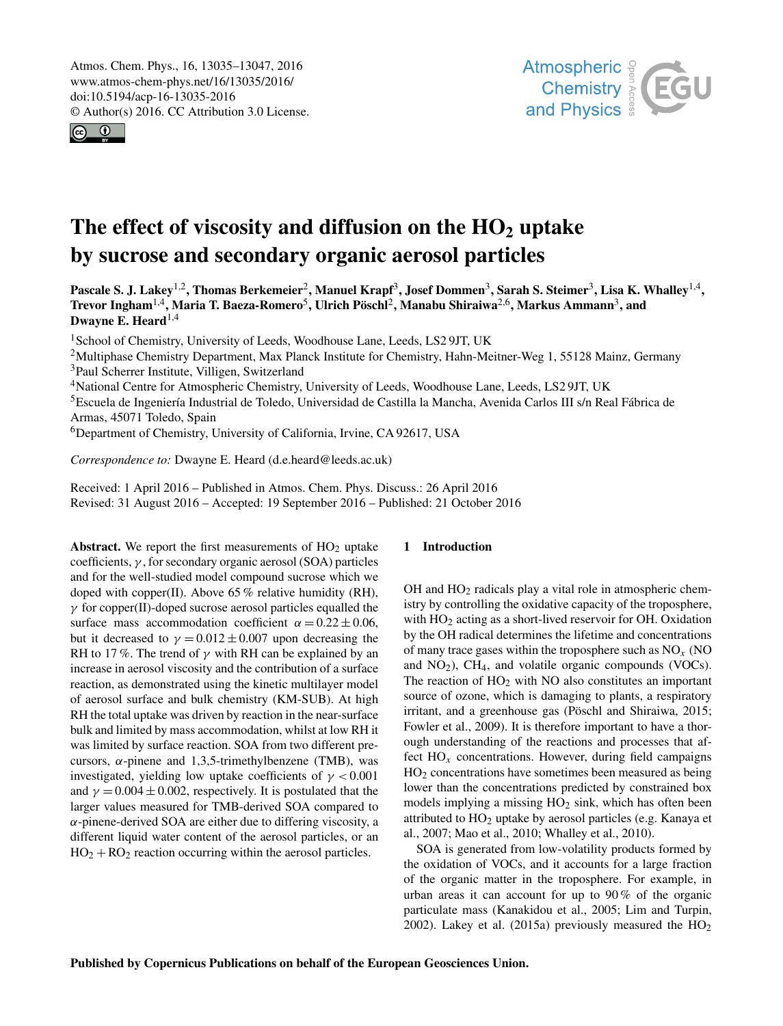<span id="page-0-1"></span>Atmos. Chem. Phys., 16, 13035–13047, 2016 www.atmos-chem-phys.net/16/13035/2016/ doi:10.5194/acp-16-13035-2016 © Author(s) 2016. CC Attribution 3.0 License.





# The effect of viscosity and diffusion on the  $HO<sub>2</sub>$  uptake by sucrose and secondary organic aerosol particles

Pascale S. J. Lakey<sup>[1,2](#page-0-0)</sup>, Thomas Berkemeier<sup>[2](#page-0-0)</sup>, Manuel Krapf<sup>[3](#page-0-0)</sup>, Josef Dommen<sup>3</sup>, Sarah S. Steimer<sup>3</sup>, Lisa K. Whalley<sup>[1,4](#page-0-0)</sup>, Trevor Ingham $^{1,4}$  $^{1,4}$  $^{1,4}$ , Maria T. Baeza-Romero $^5$  $^5$ , Ulrich Pöschl $^2$  $^2$ , Manabu Shiraiwa $^{2,6}$  $^{2,6}$  $^{2,6}$ , Markus Ammann $^3$  $^3$ , and Dwayne E. Heard $^{1,4}$  $^{1,4}$  $^{1,4}$ 

<sup>1</sup>School of Chemistry, University of Leeds, Woodhouse Lane, Leeds, LS2 9JT, UK

<sup>2</sup>Multiphase Chemistry Department, Max Planck Institute for Chemistry, Hahn-Meitner-Weg 1, 55128 Mainz, Germany <sup>3</sup>Paul Scherrer Institute, Villigen, Switzerland

<sup>4</sup>National Centre for Atmospheric Chemistry, University of Leeds, Woodhouse Lane, Leeds, LS2 9JT, UK

<sup>5</sup>Escuela de Ingeniería Industrial de Toledo, Universidad de Castilla la Mancha, Avenida Carlos III s/n Real Fábrica de Armas, 45071 Toledo, Spain

<sup>6</sup>Department of Chemistry, University of California, Irvine, CA 92617, USA

*Correspondence to:* Dwayne E. Heard (d.e.heard@leeds.ac.uk)

Received: 1 April 2016 – Published in Atmos. Chem. Phys. Discuss.: 26 April 2016 Revised: 31 August 2016 – Accepted: 19 September 2016 – Published: 21 October 2016

<span id="page-0-0"></span>Abstract. We report the first measurements of  $HO<sub>2</sub>$  uptake coefficients,  $\gamma$ , for secondary organic aerosol (SOA) particles and for the well-studied model compound sucrose which we doped with copper(II). Above 65 % relative humidity (RH),  $\gamma$  for copper(II)-doped sucrose aerosol particles equalled the surface mass accommodation coefficient  $\alpha = 0.22 \pm 0.06$ , but it decreased to  $\gamma = 0.012 \pm 0.007$  upon decreasing the RH to 17%. The trend of  $\gamma$  with RH can be explained by an increase in aerosol viscosity and the contribution of a surface reaction, as demonstrated using the kinetic multilayer model of aerosol surface and bulk chemistry (KM-SUB). At high RH the total uptake was driven by reaction in the near-surface bulk and limited by mass accommodation, whilst at low RH it was limited by surface reaction. SOA from two different precursors,  $\alpha$ -pinene and 1,3,5-trimethylbenzene (TMB), was investigated, yielding low uptake coefficients of  $\gamma < 0.001$ and  $\gamma = 0.004 \pm 0.002$ , respectively. It is postulated that the larger values measured for TMB-derived SOA compared to  $\alpha$ -pinene-derived SOA are either due to differing viscosity, a different liquid water content of the aerosol particles, or an  $HO<sub>2</sub> + RO<sub>2</sub>$  reaction occurring within the aerosol particles.

## 1 Introduction

OH and HO<sup>2</sup> radicals play a vital role in atmospheric chemistry by controlling the oxidative capacity of the troposphere, with  $HO<sub>2</sub>$  acting as a short-lived reservoir for OH. Oxidation by the OH radical determines the lifetime and concentrations of many trace gases within the troposphere such as  $NO<sub>x</sub>$  (NO and  $NO<sub>2</sub>$ ),  $CH<sub>4</sub>$ , and volatile organic compounds (VOCs). The reaction of  $HO<sub>2</sub>$  with NO also constitutes an important source of ozone, which is damaging to plants, a respiratory irritant, and a greenhouse gas (Pöschl and Shiraiwa, 2015; Fowler et al., 2009). It is therefore important to have a thorough understanding of the reactions and processes that affect  $HO_x$  concentrations. However, during field campaigns HO<sup>2</sup> concentrations have sometimes been measured as being lower than the concentrations predicted by constrained box models implying a missing  $HO<sub>2</sub>$  sink, which has often been attributed to HO<sup>2</sup> uptake by aerosol particles (e.g. Kanaya et al., 2007; Mao et al., 2010; Whalley et al., 2010).

SOA is generated from low-volatility products formed by the oxidation of VOCs, and it accounts for a large fraction of the organic matter in the troposphere. For example, in urban areas it can account for up to 90 % of the organic particulate mass (Kanakidou et al., 2005; Lim and Turpin, 2002). Lakey et al. (2015a) previously measured the  $HO<sub>2</sub>$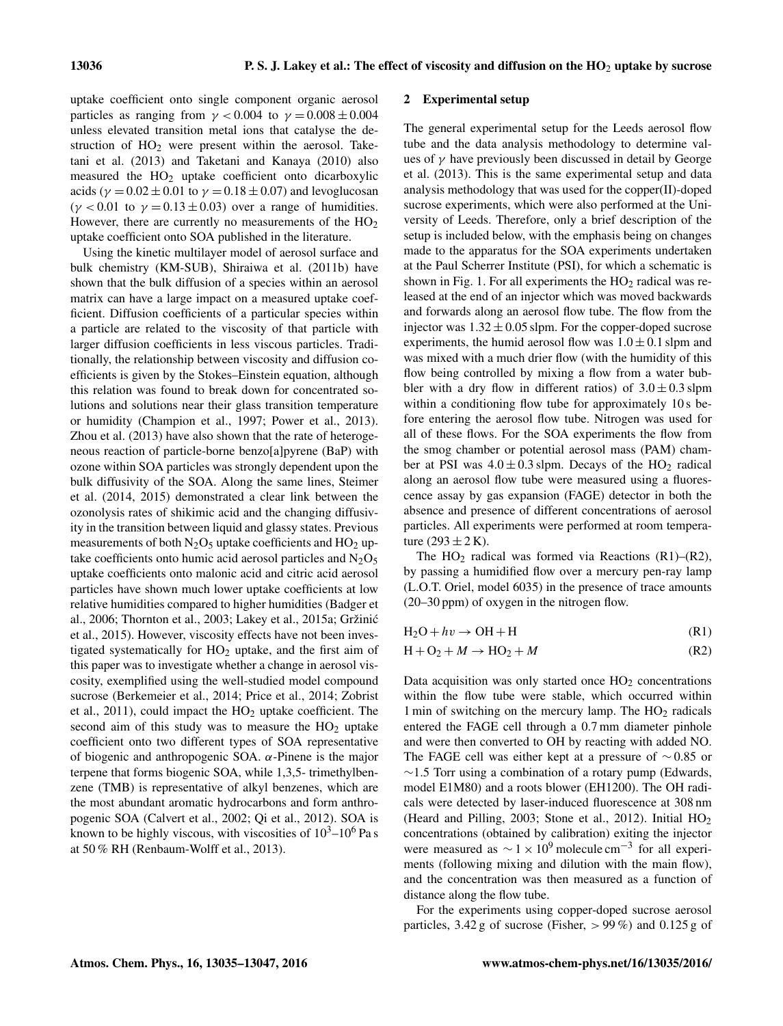uptake coefficient onto single component organic aerosol particles as ranging from  $\gamma < 0.004$  to  $\gamma = 0.008 \pm 0.004$ unless elevated transition metal ions that catalyse the destruction of  $HO<sub>2</sub>$  were present within the aerosol. Taketani et al. (2013) and Taketani and Kanaya (2010) also measured the HO<sup>2</sup> uptake coefficient onto dicarboxylic acids ( $\gamma = 0.02 \pm 0.01$  to  $\gamma = 0.18 \pm 0.07$ ) and levoglucosan ( $\gamma$  < 0.01 to  $\gamma$  = 0.13 ± 0.03) over a range of humidities. However, there are currently no measurements of the  $HO<sub>2</sub>$ uptake coefficient onto SOA published in the literature.

Using the kinetic multilayer model of aerosol surface and bulk chemistry (KM-SUB), Shiraiwa et al. (2011b) have shown that the bulk diffusion of a species within an aerosol matrix can have a large impact on a measured uptake coefficient. Diffusion coefficients of a particular species within a particle are related to the viscosity of that particle with larger diffusion coefficients in less viscous particles. Traditionally, the relationship between viscosity and diffusion coefficients is given by the Stokes–Einstein equation, although this relation was found to break down for concentrated solutions and solutions near their glass transition temperature or humidity (Champion et al., 1997; Power et al., 2013). Zhou et al. (2013) have also shown that the rate of heterogeneous reaction of particle-borne benzo[a]pyrene (BaP) with ozone within SOA particles was strongly dependent upon the bulk diffusivity of the SOA. Along the same lines, Steimer et al. (2014, 2015) demonstrated a clear link between the ozonolysis rates of shikimic acid and the changing diffusivity in the transition between liquid and glassy states. Previous measurements of both  $N_2O_5$  uptake coefficients and  $HO_2$  uptake coefficients onto humic acid aerosol particles and  $N_2O_5$ uptake coefficients onto malonic acid and citric acid aerosol particles have shown much lower uptake coefficients at low relative humidities compared to higher humidities (Badger et al., 2006; Thornton et al., 2003; Lakey et al., 2015a; Gržinic´ et al., 2015). However, viscosity effects have not been investigated systematically for  $HO<sub>2</sub>$  uptake, and the first aim of this paper was to investigate whether a change in aerosol viscosity, exemplified using the well-studied model compound sucrose (Berkemeier et al., 2014; Price et al., 2014; Zobrist et al., 2011), could impact the  $HO<sub>2</sub>$  uptake coefficient. The second aim of this study was to measure the  $HO<sub>2</sub>$  uptake coefficient onto two different types of SOA representative of biogenic and anthropogenic SOA.  $\alpha$ -Pinene is the major terpene that forms biogenic SOA, while 1,3,5- trimethylbenzene (TMB) is representative of alkyl benzenes, which are the most abundant aromatic hydrocarbons and form anthropogenic SOA (Calvert et al., 2002; Qi et al., 2012). SOA is known to be highly viscous, with viscosities of  $10^3$ – $10^6$  Pa s at 50 % RH (Renbaum-Wolff et al., 2013).

#### 2 Experimental setup

The general experimental setup for the Leeds aerosol flow tube and the data analysis methodology to determine values of  $\gamma$  have previously been discussed in detail by George et al. (2013). This is the same experimental setup and data analysis methodology that was used for the copper(II)-doped sucrose experiments, which were also performed at the University of Leeds. Therefore, only a brief description of the setup is included below, with the emphasis being on changes made to the apparatus for the SOA experiments undertaken at the Paul Scherrer Institute (PSI), for which a schematic is shown in Fig. 1. For all experiments the  $HO<sub>2</sub>$  radical was released at the end of an injector which was moved backwards and forwards along an aerosol flow tube. The flow from the injector was  $1.32 \pm 0.05$  slpm. For the copper-doped sucrose experiments, the humid aerosol flow was  $1.0 \pm 0.1$  slpm and was mixed with a much drier flow (with the humidity of this flow being controlled by mixing a flow from a water bubbler with a dry flow in different ratios) of  $3.0 \pm 0.3$  slpm within a conditioning flow tube for approximately 10 s before entering the aerosol flow tube. Nitrogen was used for all of these flows. For the SOA experiments the flow from the smog chamber or potential aerosol mass (PAM) chamber at PSI was  $4.0 \pm 0.3$  slpm. Decays of the HO<sub>2</sub> radical along an aerosol flow tube were measured using a fluorescence assay by gas expansion (FAGE) detector in both the absence and presence of different concentrations of aerosol particles. All experiments were performed at room temperature  $(293 \pm 2 \text{ K})$ .

The  $HO_2$  radical was formed via Reactions (R1)–(R2), by passing a humidified flow over a mercury pen-ray lamp (L.O.T. Oriel, model 6035) in the presence of trace amounts (20–30 ppm) of oxygen in the nitrogen flow.

| $H_2O + hv \rightarrow OH + H$ | (R1) |
|--------------------------------|------|
|--------------------------------|------|

$$
H + O_2 + M \rightarrow HO_2 + M \tag{R2}
$$

Data acquisition was only started once  $HO<sub>2</sub>$  concentrations within the flow tube were stable, which occurred within 1 min of switching on the mercury lamp. The  $HO<sub>2</sub>$  radicals entered the FAGE cell through a 0.7 mm diameter pinhole and were then converted to OH by reacting with added NO. The FAGE cell was either kept at a pressure of ∼ 0.85 or  $∼1.5$  Torr using a combination of a rotary pump (Edwards, model E1M80) and a roots blower (EH1200). The OH radicals were detected by laser-induced fluorescence at 308 nm (Heard and Pilling, 2003; Stone et al., 2012). Initial HO<sup>2</sup> concentrations (obtained by calibration) exiting the injector were measured as  $\sim 1 \times 10^9$  molecule cm<sup>-3</sup> for all experiments (following mixing and dilution with the main flow), and the concentration was then measured as a function of distance along the flow tube.

For the experiments using copper-doped sucrose aerosol particles,  $3.42$  g of sucrose (Fisher,  $> 99\%$ ) and  $0.125$  g of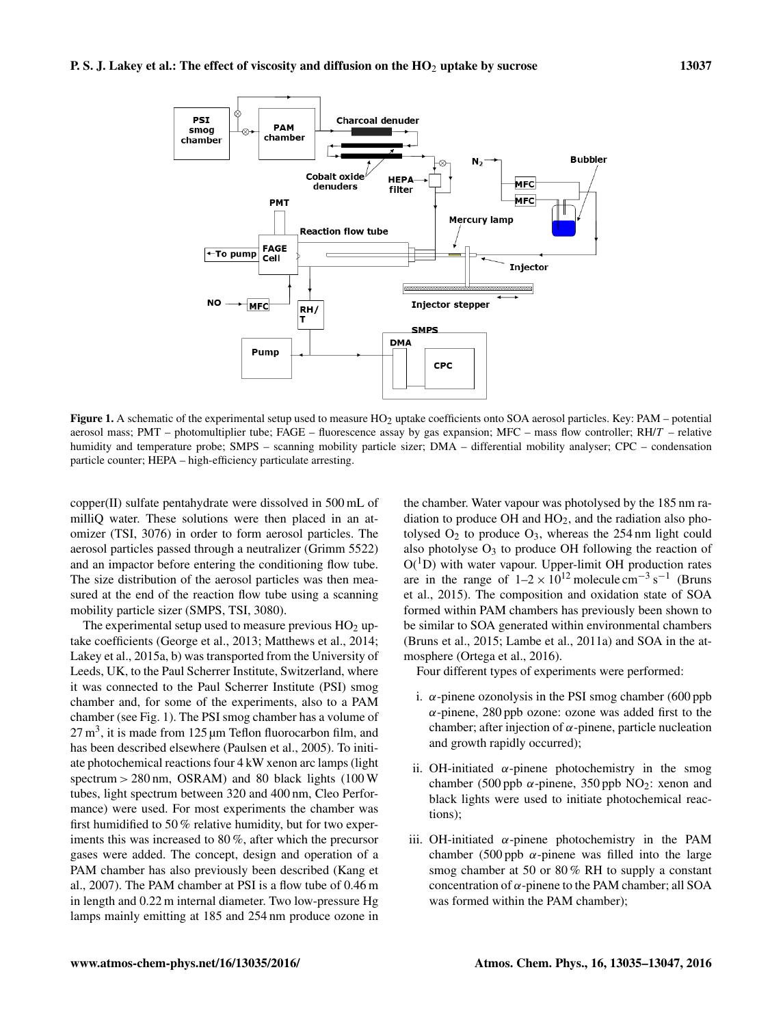

Figure 1. A schematic of the experimental setup used to measure HO<sub>2</sub> uptake coefficients onto SOA aerosol particles. Key: PAM – potential aerosol mass; PMT – photomultiplier tube; FAGE – fluorescence assay by gas expansion; MFC – mass flow controller; RH/T – relative humidity and temperature probe; SMPS – scanning mobility particle sizer; DMA – differential mobility analyser; CPC – condensation particle counter; HEPA – high-efficiency particulate arresting.

copper(II) sulfate pentahydrate were dissolved in 500 mL of milliQ water. These solutions were then placed in an atomizer (TSI, 3076) in order to form aerosol particles. The aerosol particles passed through a neutralizer (Grimm 5522) and an impactor before entering the conditioning flow tube. The size distribution of the aerosol particles was then measured at the end of the reaction flow tube using a scanning mobility particle sizer (SMPS, TSI, 3080).

The experimental setup used to measure previous  $HO<sub>2</sub>$  uptake coefficients (George et al., 2013; Matthews et al., 2014; Lakey et al., 2015a, b) was transported from the University of Leeds, UK, to the Paul Scherrer Institute, Switzerland, where it was connected to the Paul Scherrer Institute (PSI) smog chamber and, for some of the experiments, also to a PAM chamber (see Fig. 1). The PSI smog chamber has a volume of  $27 \text{ m}^3$ , it is made from 125  $\mu$ m Teflon fluorocarbon film, and has been described elsewhere (Paulsen et al., 2005). To initiate photochemical reactions four 4 kW xenon arc lamps (light spectrum > 280 nm, OSRAM) and 80 black lights (100 W tubes, light spectrum between 320 and 400 nm, Cleo Performance) were used. For most experiments the chamber was first humidified to 50 % relative humidity, but for two experiments this was increased to 80 %, after which the precursor gases were added. The concept, design and operation of a PAM chamber has also previously been described (Kang et al., 2007). The PAM chamber at PSI is a flow tube of 0.46 m in length and 0.22 m internal diameter. Two low-pressure Hg lamps mainly emitting at 185 and 254 nm produce ozone in the chamber. Water vapour was photolysed by the 185 nm radiation to produce  $OH$  and  $HO<sub>2</sub>$ , and the radiation also photolysed  $O_2$  to produce  $O_3$ , whereas the 254 nm light could also photolyse  $O_3$  to produce OH following the reaction of  $O(^1D)$  with water vapour. Upper-limit OH production rates are in the range of  $1-2 \times 10^{12}$  molecule cm<sup>-3</sup> s<sup>-1</sup> (Bruns et al., 2015). The composition and oxidation state of SOA formed within PAM chambers has previously been shown to be similar to SOA generated within environmental chambers (Bruns et al., 2015; Lambe et al., 2011a) and SOA in the atmosphere (Ortega et al., 2016).

Four different types of experiments were performed:

- i.  $\alpha$ -pinene ozonolysis in the PSI smog chamber (600 ppb)  $\alpha$ -pinene, 280 ppb ozone: ozone was added first to the chamber; after injection of  $\alpha$ -pinene, particle nucleation and growth rapidly occurred);
- ii. OH-initiated  $\alpha$ -pinene photochemistry in the smog chamber (500 ppb  $\alpha$ -pinene, 350 ppb NO<sub>2</sub>: xenon and black lights were used to initiate photochemical reactions);
- iii. OH-initiated  $\alpha$ -pinene photochemistry in the PAM chamber (500 ppb  $\alpha$ -pinene was filled into the large smog chamber at 50 or 80% RH to supply a constant concentration of  $\alpha$ -pinene to the PAM chamber; all SOA was formed within the PAM chamber);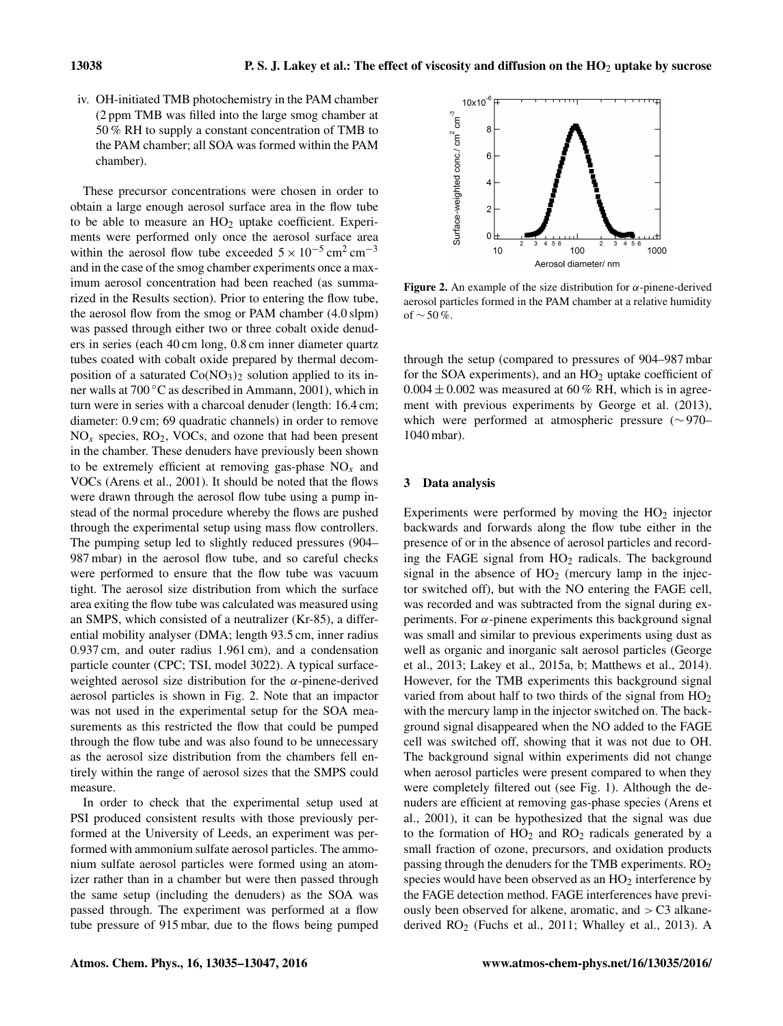iv. OH-initiated TMB photochemistry in the PAM chamber (2 ppm TMB was filled into the large smog chamber at 50 % RH to supply a constant concentration of TMB to the PAM chamber; all SOA was formed within the PAM chamber).

These precursor concentrations were chosen in order to obtain a large enough aerosol surface area in the flow tube to be able to measure an  $HO<sub>2</sub>$  uptake coefficient. Experiments were performed only once the aerosol surface area within the aerosol flow tube exceeded  $5 \times 10^{-5}$  cm<sup>2</sup> cm<sup>-3</sup> and in the case of the smog chamber experiments once a maximum aerosol concentration had been reached (as summarized in the Results section). Prior to entering the flow tube, the aerosol flow from the smog or PAM chamber (4.0 slpm) was passed through either two or three cobalt oxide denuders in series (each 40 cm long, 0.8 cm inner diameter quartz tubes coated with cobalt oxide prepared by thermal decomposition of a saturated  $Co(NO<sub>3</sub>)<sub>2</sub>$  solution applied to its inner walls at 700 ◦C as described in Ammann, 2001), which in turn were in series with a charcoal denuder (length: 16.4 cm; diameter: 0.9 cm; 69 quadratic channels) in order to remove  $NO<sub>x</sub>$  species,  $RO<sub>2</sub>$ , VOCs, and ozone that had been present in the chamber. These denuders have previously been shown to be extremely efficient at removing gas-phase  $NO<sub>x</sub>$  and VOCs (Arens et al., 2001). It should be noted that the flows were drawn through the aerosol flow tube using a pump instead of the normal procedure whereby the flows are pushed through the experimental setup using mass flow controllers. The pumping setup led to slightly reduced pressures (904– 987 mbar) in the aerosol flow tube, and so careful checks were performed to ensure that the flow tube was vacuum tight. The aerosol size distribution from which the surface area exiting the flow tube was calculated was measured using an SMPS, which consisted of a neutralizer (Kr-85), a differential mobility analyser (DMA; length 93.5 cm, inner radius 0.937 cm, and outer radius 1.961 cm), and a condensation particle counter (CPC; TSI, model 3022). A typical surfaceweighted aerosol size distribution for the  $\alpha$ -pinene-derived aerosol particles is shown in Fig. 2. Note that an impactor was not used in the experimental setup for the SOA measurements as this restricted the flow that could be pumped through the flow tube and was also found to be unnecessary as the aerosol size distribution from the chambers fell entirely within the range of aerosol sizes that the SMPS could measure.

In order to check that the experimental setup used at PSI produced consistent results with those previously performed at the University of Leeds, an experiment was performed with ammonium sulfate aerosol particles. The ammonium sulfate aerosol particles were formed using an atomizer rather than in a chamber but were then passed through the same setup (including the denuders) as the SOA was passed through. The experiment was performed at a flow tube pressure of 915 mbar, due to the flows being pumped



Figure 2. An example of the size distribution for  $\alpha$ -pinene-derived aerosol particles formed in the PAM chamber at a relative humidity of  $\sim$  50 %.

through the setup (compared to pressures of 904–987 mbar for the SOA experiments), and an  $HO<sub>2</sub>$  uptake coefficient of  $0.004 \pm 0.002$  was measured at 60 % RH, which is in agreement with previous experiments by George et al. (2013), which were performed at atmospheric pressure (∼ 970– 1040 mbar).

## 3 Data analysis

Experiments were performed by moving the  $HO<sub>2</sub>$  injector backwards and forwards along the flow tube either in the presence of or in the absence of aerosol particles and recording the FAGE signal from  $HO<sub>2</sub>$  radicals. The background signal in the absence of  $HO<sub>2</sub>$  (mercury lamp in the injector switched off), but with the NO entering the FAGE cell, was recorded and was subtracted from the signal during experiments. For  $\alpha$ -pinene experiments this background signal was small and similar to previous experiments using dust as well as organic and inorganic salt aerosol particles (George et al., 2013; Lakey et al., 2015a, b; Matthews et al., 2014). However, for the TMB experiments this background signal varied from about half to two thirds of the signal from  $HO<sub>2</sub>$ with the mercury lamp in the injector switched on. The background signal disappeared when the NO added to the FAGE cell was switched off, showing that it was not due to OH. The background signal within experiments did not change when aerosol particles were present compared to when they were completely filtered out (see Fig. 1). Although the denuders are efficient at removing gas-phase species (Arens et al., 2001), it can be hypothesized that the signal was due to the formation of  $HO<sub>2</sub>$  and  $RO<sub>2</sub>$  radicals generated by a small fraction of ozone, precursors, and oxidation products passing through the denuders for the TMB experiments.  $RO<sub>2</sub>$ species would have been observed as an  $HO<sub>2</sub>$  interference by the FAGE detection method. FAGE interferences have previously been observed for alkene, aromatic, and  $> C<sub>3</sub>$  alkanederived RO<sub>2</sub> (Fuchs et al., 2011; Whalley et al., 2013). A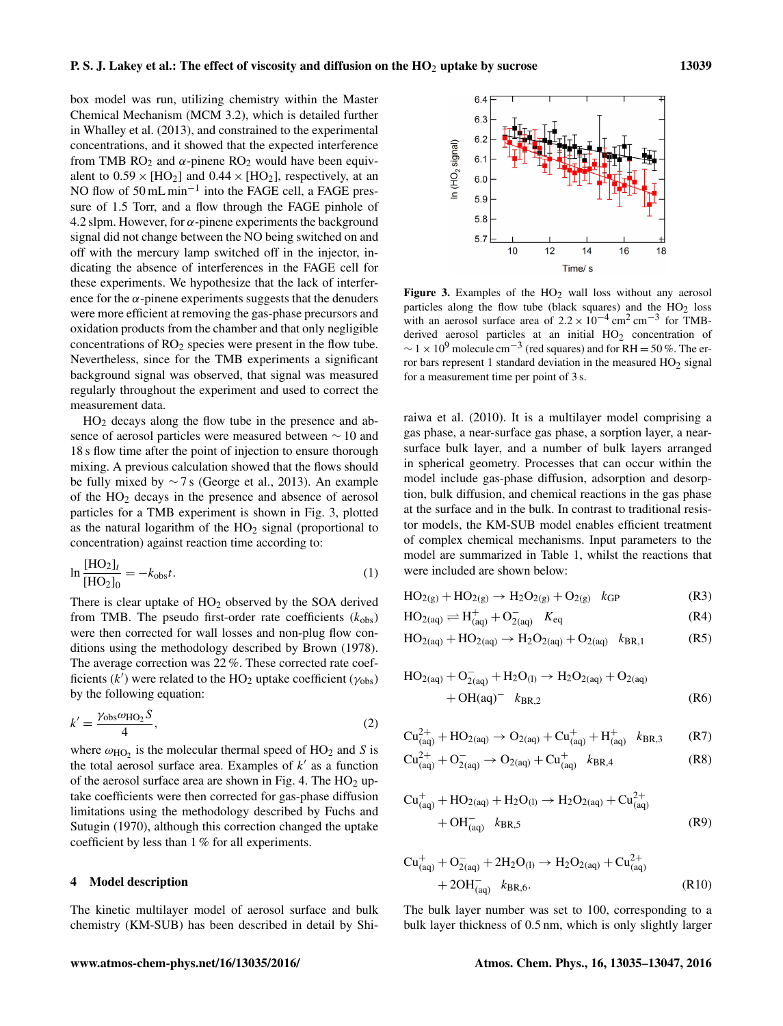box model was run, utilizing chemistry within the Master Chemical Mechanism (MCM 3.2), which is detailed further in Whalley et al. (2013), and constrained to the experimental concentrations, and it showed that the expected interference from TMB  $RO<sub>2</sub>$  and  $\alpha$ -pinene  $RO<sub>2</sub>$  would have been equivalent to  $0.59 \times [HO_2]$  and  $0.44 \times [HO_2]$ , respectively, at an NO flow of 50 mL min<sup>-1</sup> into the FAGE cell, a FAGE pressure of 1.5 Torr, and a flow through the FAGE pinhole of 4.2 slpm. However, for  $\alpha$ -pinene experiments the background signal did not change between the NO being switched on and off with the mercury lamp switched off in the injector, indicating the absence of interferences in the FAGE cell for these experiments. We hypothesize that the lack of interference for the  $\alpha$ -pinene experiments suggests that the denuders were more efficient at removing the gas-phase precursors and oxidation products from the chamber and that only negligible concentrations of  $RO<sub>2</sub>$  species were present in the flow tube. Nevertheless, since for the TMB experiments a significant background signal was observed, that signal was measured regularly throughout the experiment and used to correct the measurement data.

 $HO<sub>2</sub>$  decays along the flow tube in the presence and absence of aerosol particles were measured between ∼ 10 and 18 s flow time after the point of injection to ensure thorough mixing. A previous calculation showed that the flows should be fully mixed by ∼ 7 s (George et al., 2013). An example of the HO<sup>2</sup> decays in the presence and absence of aerosol particles for a TMB experiment is shown in Fig. 3, plotted as the natural logarithm of the  $HO<sub>2</sub>$  signal (proportional to concentration) against reaction time according to:

$$
\ln \frac{[HO_2]_t}{[HO_2]_0} = -k_{\text{obs}}t.
$$
 (1)

There is clear uptake of  $HO<sub>2</sub>$  observed by the SOA derived from TMB. The pseudo first-order rate coefficients  $(k_{obs})$ were then corrected for wall losses and non-plug flow conditions using the methodology described by Brown (1978). The average correction was 22 %. These corrected rate coefficients  $(k<sup>7</sup>)$  were related to the HO<sub>2</sub> uptake coefficient ( $\gamma_{\text{obs}}$ ) by the following equation:

$$
k' = \frac{\gamma_{\text{obs}}\omega_{\text{HO}_2}S}{4},\tag{2}
$$

where  $\omega_{HO_2}$  is the molecular thermal speed of HO<sub>2</sub> and S is the total aerosol surface area. Examples of  $k'$  as a function of the aerosol surface area are shown in Fig. 4. The  $HO<sub>2</sub>$  uptake coefficients were then corrected for gas-phase diffusion limitations using the methodology described by Fuchs and Sutugin (1970), although this correction changed the uptake coefficient by less than 1 % for all experiments.

#### 4 Model description

The kinetic multilayer model of aerosol surface and bulk chemistry (KM-SUB) has been described in detail by Shi-



Figure 3. Examples of the  $HO<sub>2</sub>$  wall loss without any aerosol particles along the flow tube (black squares) and the  $HO<sub>2</sub>$  loss with an aerosol surface area of  $2.2 \times 10^{-4}$  cm<sup>2</sup> cm<sup>-3</sup> for TMBderived aerosol particles at an initial  $HO<sub>2</sub>$  concentration of  $\sim$  1 × 10<sup>9</sup> molecule cm<sup>-3</sup> (red squares) and for RH = 50%. The error bars represent 1 standard deviation in the measured  $HO<sub>2</sub>$  signal for a measurement time per point of 3 s.

raiwa et al. (2010). It is a multilayer model comprising a gas phase, a near-surface gas phase, a sorption layer, a nearsurface bulk layer, and a number of bulk layers arranged in spherical geometry. Processes that can occur within the model include gas-phase diffusion, adsorption and desorption, bulk diffusion, and chemical reactions in the gas phase at the surface and in the bulk. In contrast to traditional resistor models, the KM-SUB model enables efficient treatment of complex chemical mechanisms. Input parameters to the model are summarized in Table 1, whilst the reactions that were included are shown below:

$$
HO_{2(g)} + HO_{2(g)} \to H_2O_{2(g)} + O_{2(g)} \quad k_{GP}
$$
 (R3)

$$
HO_{2(aq)} \rightleftharpoons H_{(aq)}^+ + O_{2(aq)}^- \quad K_{eq} \tag{R4}
$$

$$
HO_{2(aq)} + HO_{2(aq)} \to H_2O_{2(aq)} + O_{2(aq)} \quad k_{BR,1} \tag{R5}
$$

$$
HO_{2(aq)} + O_{2(aq)}^- + H_2O_{(l)} \rightarrow H_2O_{2(aq)} + O_{2(aq)}
$$
  
+
$$
OH(aq)^- k_{BR,2}
$$
 (R6)

$$
Cu^{2+}_{(aq)} + HO_{2(aq)} \rightarrow O_{2(aq)} + Cu^{+}_{(aq)} + H^{+}_{(aq)} \ \ \, \mathit{k}_{BR,3} \qquad (R7)
$$

$$
Cu_{(aq)}^{2+} + O_{2(aq)}^{-} \to O_{2(aq)} + Cu_{(aq)}^{+} \quad k_{BR,4}
$$
 (R8)

$$
Cu^{+}_{(aq)} + HO_{2(aq)} + H_{2}O_{(l)} \rightarrow H_{2}O_{2(aq)} + Cu^{2+}_{(aq)} + OH^{-}_{(aq)} \qquad (R9)
$$

$$
Cu^{+}_{(aq)} + O^{-}_{2(aq)} + 2H_2O_{(l)} \rightarrow H_2O_{2(aq)} + Cu^{2+}_{(aq)} + 2OH^{-}_{(aq)} \quad k_{BR,6}.
$$
\n(R10)

The bulk layer number was set to 100, corresponding to a bulk layer thickness of 0.5 nm, which is only slightly larger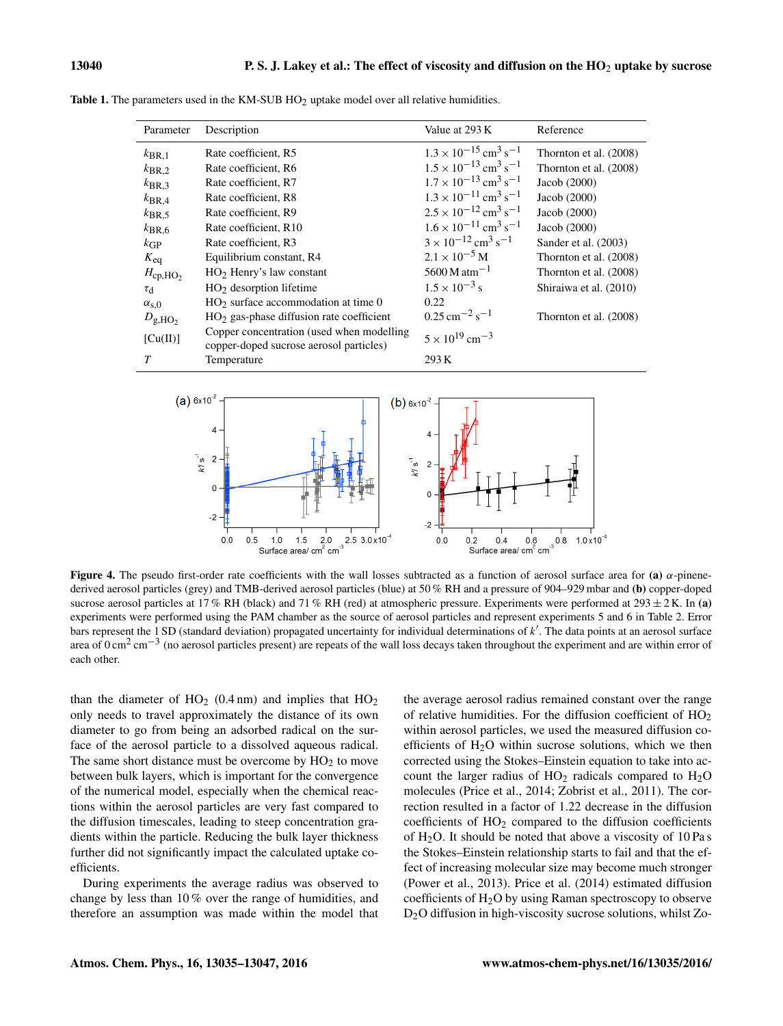| Parameter           | Description                                                                          | Value at 293 K                                        | Reference              |
|---------------------|--------------------------------------------------------------------------------------|-------------------------------------------------------|------------------------|
| $k_{\text{BR},1}$   | Rate coefficient, R5                                                                 | $1.3 \times 10^{-15}$ cm <sup>3</sup> s <sup>-1</sup> | Thornton et al. (2008) |
| $k_{\text{BR},2}$   | Rate coefficient, R6                                                                 | $1.5 \times 10^{-13}$ cm <sup>3</sup> s <sup>-1</sup> | Thornton et al. (2008) |
| $k_{\text{BR},3}$   | Rate coefficient, R7                                                                 | $1.7 \times 10^{-13}$ cm <sup>3</sup> s <sup>-1</sup> | Jacob $(2000)$         |
| $k_{\rm BR,4}$      | Rate coefficient, R8                                                                 | $1.3 \times 10^{-11}$ cm <sup>3</sup> s <sup>-1</sup> | Jacob $(2000)$         |
| $k_{\rm BR,5}$      | Rate coefficient, R9                                                                 | $2.5 \times 10^{-12}$ cm <sup>3</sup> s <sup>-1</sup> | Jacob $(2000)$         |
| $k_{\text{BR},6}$   | Rate coefficient, R10                                                                | $1.6 \times 10^{-11}$ cm <sup>3</sup> s <sup>-1</sup> | Jacob $(2000)$         |
| kGP                 | Rate coefficient, R3                                                                 | $3 \times 10^{-12}$ cm <sup>3</sup> s <sup>-1</sup>   | Sander et al. (2003)   |
| $K_{\text{eq}}$     | Equilibrium constant, R4                                                             | $2.1 \times 10^{-5}$ M                                | Thornton et al. (2008) |
| $H_{\rm cp, HO_2}$  | $HO2$ Henry's law constant                                                           | $5600 M \text{ atm}^{-1}$                             | Thornton et al. (2008) |
| $\tau_{\rm d}$      | $HO2$ desorption lifetime                                                            | $1.5 \times 10^{-3}$ s                                | Shiraiwa et al. (2010) |
| $\alpha_{\rm s,0}$  | $HO2$ surface accommodation at time 0                                                | 0.22                                                  |                        |
| $D_{\text{g,HO}_2}$ | $HO2$ gas-phase diffusion rate coefficient                                           | $0.25 \,\mathrm{cm}^{-2}\,\mathrm{s}^{-1}$            | Thornton et al. (2008) |
| [Cu(II)]            | Copper concentration (used when modelling<br>copper-doped sucrose aerosol particles) | $5 \times 10^{19}$ cm <sup>-3</sup>                   |                        |
| T                   | Temperature                                                                          | 293 K                                                 |                        |

**Table 1.** The parameters used in the KM-SUB  $HO<sub>2</sub>$  uptake model over all relative humidities.



Figure 4. The pseudo first-order rate coefficients with the wall losses subtracted as a function of aerosol surface area for (a)  $\alpha$ -pinenederived aerosol particles (grey) and TMB-derived aerosol particles (blue) at 50 % RH and a pressure of 904–929 mbar and (b) copper-doped sucrose aerosol particles at 17 % RH (black) and 71 % RH (red) at atmospheric pressure. Experiments were performed at  $293 \pm 2$  K. In (a) experiments were performed using the PAM chamber as the source of aerosol particles and represent experiments 5 and 6 in Table 2. Error bars represent the 1 SD (standard deviation) propagated uncertainty for individual determinations of  $k'$ . The data points at an aerosol surface area of 0 cm<sup>2</sup> cm<sup>-3</sup> (no aerosol particles present) are repeats of the wall loss decays taken throughout the experiment and are within error of each other.

than the diameter of  $HO<sub>2</sub>$  (0.4 nm) and implies that  $HO<sub>2</sub>$ only needs to travel approximately the distance of its own diameter to go from being an adsorbed radical on the surface of the aerosol particle to a dissolved aqueous radical. The same short distance must be overcome by  $HO<sub>2</sub>$  to move between bulk layers, which is important for the convergence of the numerical model, especially when the chemical reactions within the aerosol particles are very fast compared to the diffusion timescales, leading to steep concentration gradients within the particle. Reducing the bulk layer thickness further did not significantly impact the calculated uptake coefficients.

During experiments the average radius was observed to change by less than 10 % over the range of humidities, and therefore an assumption was made within the model that

the average aerosol radius remained constant over the range of relative humidities. For the diffusion coefficient of  $HO<sub>2</sub>$ within aerosol particles, we used the measured diffusion coefficients of  $H<sub>2</sub>O$  within sucrose solutions, which we then corrected using the Stokes–Einstein equation to take into account the larger radius of  $HO<sub>2</sub>$  radicals compared to  $H<sub>2</sub>O$ molecules (Price et al., 2014; Zobrist et al., 2011). The correction resulted in a factor of 1.22 decrease in the diffusion coefficients of  $HO<sub>2</sub>$  compared to the diffusion coefficients of  $H<sub>2</sub>O$ . It should be noted that above a viscosity of 10 Pa s the Stokes–Einstein relationship starts to fail and that the effect of increasing molecular size may become much stronger (Power et al., 2013). Price et al. (2014) estimated diffusion coefficients of  $H_2O$  by using Raman spectroscopy to observe D2O diffusion in high-viscosity sucrose solutions, whilst Zo-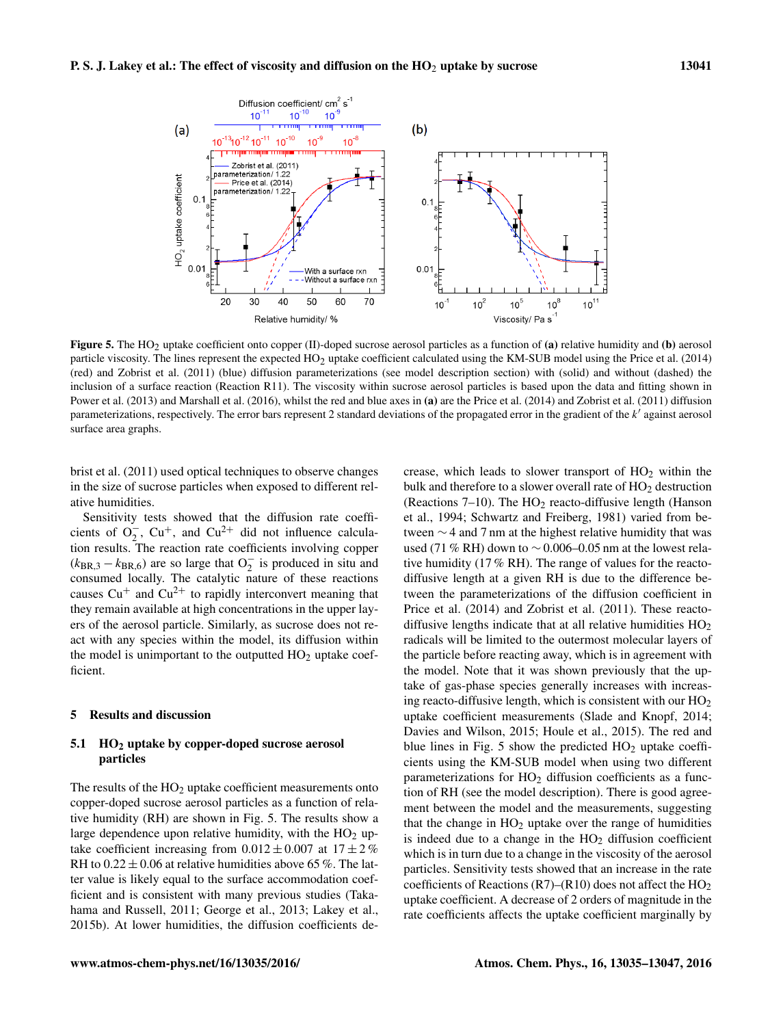

Figure 5. The  $HO_2$  uptake coefficient onto copper (II)-doped sucrose aerosol particles as a function of (a) relative humidity and (b) aerosol particle viscosity. The lines represent the expected HO2 uptake coefficient calculated using the KM-SUB model using the Price et al. (2014) (red) and Zobrist et al. (2011) (blue) diffusion parameterizations (see model description section) with (solid) and without (dashed) the inclusion of a surface reaction (Reaction R11). The viscosity within sucrose aerosol particles is based upon the data and fitting shown in Power et al. (2013) and Marshall et al. (2016), whilst the red and blue axes in (a) are the Price et al. (2014) and Zobrist et al. (2011) diffusion parameterizations, respectively. The error bars represent 2 standard deviations of the propagated error in the gradient of the  $k'$  against aerosol surface area graphs.

brist et al. (2011) used optical techniques to observe changes in the size of sucrose particles when exposed to different relative humidities.

Sensitivity tests showed that the diffusion rate coefficients of  $O_2^-$ ,  $Cu^+$ , and  $Cu^{2+}$  did not influence calculation results. The reaction rate coefficients involving copper  $(k_{\text{BR},3} - k_{\text{BR},6})$  are so large that  $O_2^-$  is produced in situ and consumed locally. The catalytic nature of these reactions causes  $Cu<sup>+</sup>$  and  $Cu<sup>2+</sup>$  to rapidly interconvert meaning that they remain available at high concentrations in the upper layers of the aerosol particle. Similarly, as sucrose does not react with any species within the model, its diffusion within the model is unimportant to the outputted  $HO<sub>2</sub>$  uptake coefficient.

## 5 Results and discussion

#### 5.1 HO<sup>2</sup> uptake by copper-doped sucrose aerosol particles

The results of the  $HO<sub>2</sub>$  uptake coefficient measurements onto copper-doped sucrose aerosol particles as a function of relative humidity (RH) are shown in Fig. 5. The results show a large dependence upon relative humidity, with the  $HO<sub>2</sub>$  uptake coefficient increasing from  $0.012 \pm 0.007$  at  $17 \pm 2\%$ RH to  $0.22 \pm 0.06$  at relative humidities above 65 %. The latter value is likely equal to the surface accommodation coefficient and is consistent with many previous studies (Takahama and Russell, 2011; George et al., 2013; Lakey et al., 2015b). At lower humidities, the diffusion coefficients de-

crease, which leads to slower transport of  $HO<sub>2</sub>$  within the bulk and therefore to a slower overall rate of  $HO<sub>2</sub>$  destruction (Reactions 7–10). The  $HO<sub>2</sub>$  reacto-diffusive length (Hanson et al., 1994; Schwartz and Freiberg, 1981) varied from between ∼ 4 and 7 nm at the highest relative humidity that was used (71 % RH) down to ∼ 0.006–0.05 nm at the lowest relative humidity (17 % RH). The range of values for the reactodiffusive length at a given RH is due to the difference between the parameterizations of the diffusion coefficient in Price et al. (2014) and Zobrist et al. (2011). These reactodiffusive lengths indicate that at all relative humidities  $HO<sub>2</sub>$ radicals will be limited to the outermost molecular layers of the particle before reacting away, which is in agreement with the model. Note that it was shown previously that the uptake of gas-phase species generally increases with increasing reacto-diffusive length, which is consistent with our  $HO<sub>2</sub>$ uptake coefficient measurements (Slade and Knopf, 2014; Davies and Wilson, 2015; Houle et al., 2015). The red and blue lines in Fig. 5 show the predicted  $HO<sub>2</sub>$  uptake coefficients using the KM-SUB model when using two different parameterizations for  $HO<sub>2</sub>$  diffusion coefficients as a function of RH (see the model description). There is good agreement between the model and the measurements, suggesting that the change in  $HO<sub>2</sub>$  uptake over the range of humidities is indeed due to a change in the  $HO<sub>2</sub>$  diffusion coefficient which is in turn due to a change in the viscosity of the aerosol particles. Sensitivity tests showed that an increase in the rate coefficients of Reactions (R7)–(R10) does not affect the  $HO<sub>2</sub>$ uptake coefficient. A decrease of 2 orders of magnitude in the rate coefficients affects the uptake coefficient marginally by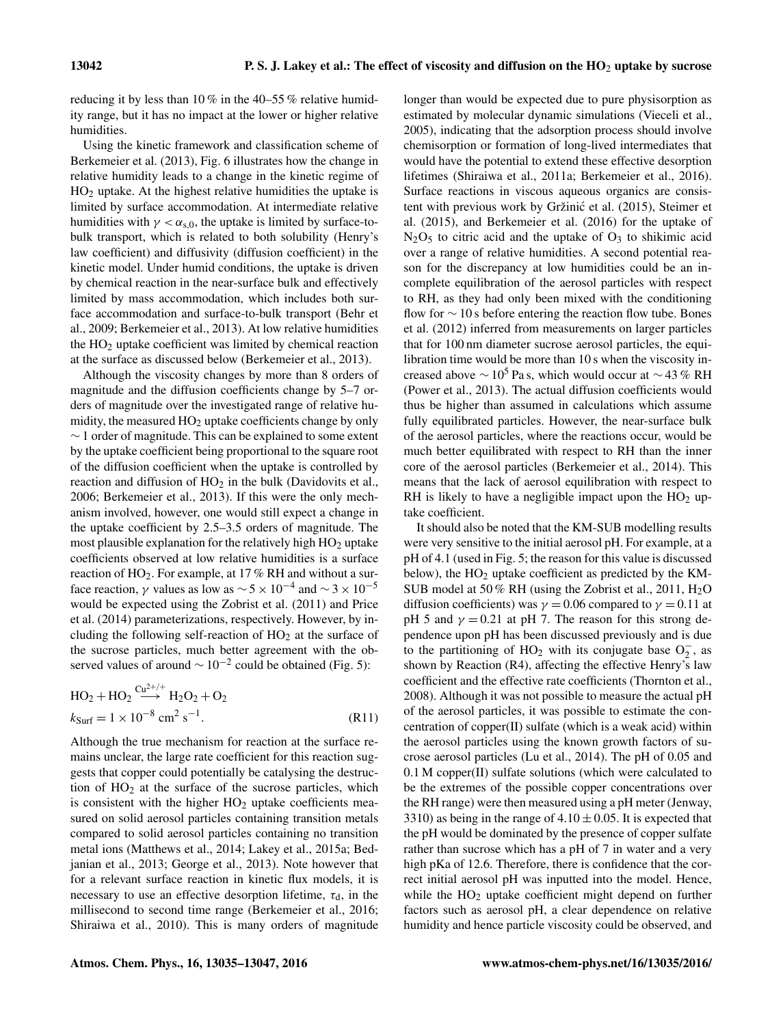reducing it by less than 10 % in the 40–55 % relative humidity range, but it has no impact at the lower or higher relative humidities.

Using the kinetic framework and classification scheme of Berkemeier et al. (2013), Fig. 6 illustrates how the change in relative humidity leads to a change in the kinetic regime of  $HO<sub>2</sub>$  uptake. At the highest relative humidities the uptake is limited by surface accommodation. At intermediate relative humidities with  $\gamma < \alpha_{s,0}$ , the uptake is limited by surface-tobulk transport, which is related to both solubility (Henry's law coefficient) and diffusivity (diffusion coefficient) in the kinetic model. Under humid conditions, the uptake is driven by chemical reaction in the near-surface bulk and effectively limited by mass accommodation, which includes both surface accommodation and surface-to-bulk transport (Behr et al., 2009; Berkemeier et al., 2013). At low relative humidities the  $HO<sub>2</sub>$  uptake coefficient was limited by chemical reaction at the surface as discussed below (Berkemeier et al., 2013).

Although the viscosity changes by more than 8 orders of magnitude and the diffusion coefficients change by 5–7 orders of magnitude over the investigated range of relative humidity, the measured  $HO<sub>2</sub>$  uptake coefficients change by only ∼ 1 order of magnitude. This can be explained to some extent by the uptake coefficient being proportional to the square root of the diffusion coefficient when the uptake is controlled by reaction and diffusion of  $HO<sub>2</sub>$  in the bulk (Davidovits et al., 2006; Berkemeier et al., 2013). If this were the only mechanism involved, however, one would still expect a change in the uptake coefficient by 2.5–3.5 orders of magnitude. The most plausible explanation for the relatively high  $HO<sub>2</sub>$  uptake coefficients observed at low relative humidities is a surface reaction of HO2. For example, at 17 % RH and without a surface reaction,  $\gamma$  values as low as  $\sim$  5 × 10<sup>-4</sup> and  $\sim$  3 × 10<sup>-5</sup> would be expected using the Zobrist et al. (2011) and Price et al. (2014) parameterizations, respectively. However, by including the following self-reaction of  $HO<sub>2</sub>$  at the surface of the sucrose particles, much better agreement with the observed values of around  $\sim 10^{-2}$  could be obtained (Fig. 5):

$$
HO2 + HO2 \xrightarrow{Cu^{2+/+}} H2O2 + O2
$$
  
\n
$$
k_{\text{Surf}} = 1 \times 10^{-8} \text{ cm}^2 \text{ s}^{-1}.
$$
 (R11)

Although the true mechanism for reaction at the surface remains unclear, the large rate coefficient for this reaction suggests that copper could potentially be catalysing the destruction of  $HO<sub>2</sub>$  at the surface of the sucrose particles, which is consistent with the higher  $HO<sub>2</sub>$  uptake coefficients measured on solid aerosol particles containing transition metals compared to solid aerosol particles containing no transition metal ions (Matthews et al., 2014; Lakey et al., 2015a; Bedjanian et al., 2013; George et al., 2013). Note however that for a relevant surface reaction in kinetic flux models, it is necessary to use an effective desorption lifetime,  $\tau_d$ , in the millisecond to second time range (Berkemeier et al., 2016; Shiraiwa et al., 2010). This is many orders of magnitude longer than would be expected due to pure physisorption as estimated by molecular dynamic simulations (Vieceli et al., 2005), indicating that the adsorption process should involve chemisorption or formation of long-lived intermediates that would have the potential to extend these effective desorption lifetimes (Shiraiwa et al., 2011a; Berkemeier et al., 2016). Surface reactions in viscous aqueous organics are consistent with previous work by Gržinić et al. (2015), Steimer et al. (2015), and Berkemeier et al. (2016) for the uptake of  $N_2O_5$  to citric acid and the uptake of  $O_3$  to shikimic acid over a range of relative humidities. A second potential reason for the discrepancy at low humidities could be an incomplete equilibration of the aerosol particles with respect to RH, as they had only been mixed with the conditioning flow for  $\sim$  10 s before entering the reaction flow tube. Bones et al. (2012) inferred from measurements on larger particles that for 100 nm diameter sucrose aerosol particles, the equilibration time would be more than 10 s when the viscosity increased above  $\sim 10^5$  Pa s, which would occur at  $\sim$  43 % RH (Power et al., 2013). The actual diffusion coefficients would thus be higher than assumed in calculations which assume fully equilibrated particles. However, the near-surface bulk of the aerosol particles, where the reactions occur, would be much better equilibrated with respect to RH than the inner core of the aerosol particles (Berkemeier et al., 2014). This means that the lack of aerosol equilibration with respect to RH is likely to have a negligible impact upon the  $HO<sub>2</sub>$  uptake coefficient.

It should also be noted that the KM-SUB modelling results were very sensitive to the initial aerosol pH. For example, at a pH of 4.1 (used in Fig. 5; the reason for this value is discussed below), the HO<sub>2</sub> uptake coefficient as predicted by the KM-SUB model at 50 % RH (using the Zobrist et al., 2011,  $H_2O$ diffusion coefficients) was  $\gamma = 0.06$  compared to  $\gamma = 0.11$  at pH 5 and  $\gamma = 0.21$  at pH 7. The reason for this strong dependence upon pH has been discussed previously and is due to the partitioning of HO<sub>2</sub> with its conjugate base  $O_2^-$ , as shown by Reaction (R4), affecting the effective Henry's law coefficient and the effective rate coefficients (Thornton et al., 2008). Although it was not possible to measure the actual pH of the aerosol particles, it was possible to estimate the concentration of copper(II) sulfate (which is a weak acid) within the aerosol particles using the known growth factors of sucrose aerosol particles (Lu et al., 2014). The pH of 0.05 and 0.1 M copper(II) sulfate solutions (which were calculated to be the extremes of the possible copper concentrations over the RH range) were then measured using a pH meter (Jenway, 3310) as being in the range of  $4.10 \pm 0.05$ . It is expected that the pH would be dominated by the presence of copper sulfate rather than sucrose which has a pH of 7 in water and a very high pKa of 12.6. Therefore, there is confidence that the correct initial aerosol pH was inputted into the model. Hence, while the  $HO<sub>2</sub>$  uptake coefficient might depend on further factors such as aerosol pH, a clear dependence on relative humidity and hence particle viscosity could be observed, and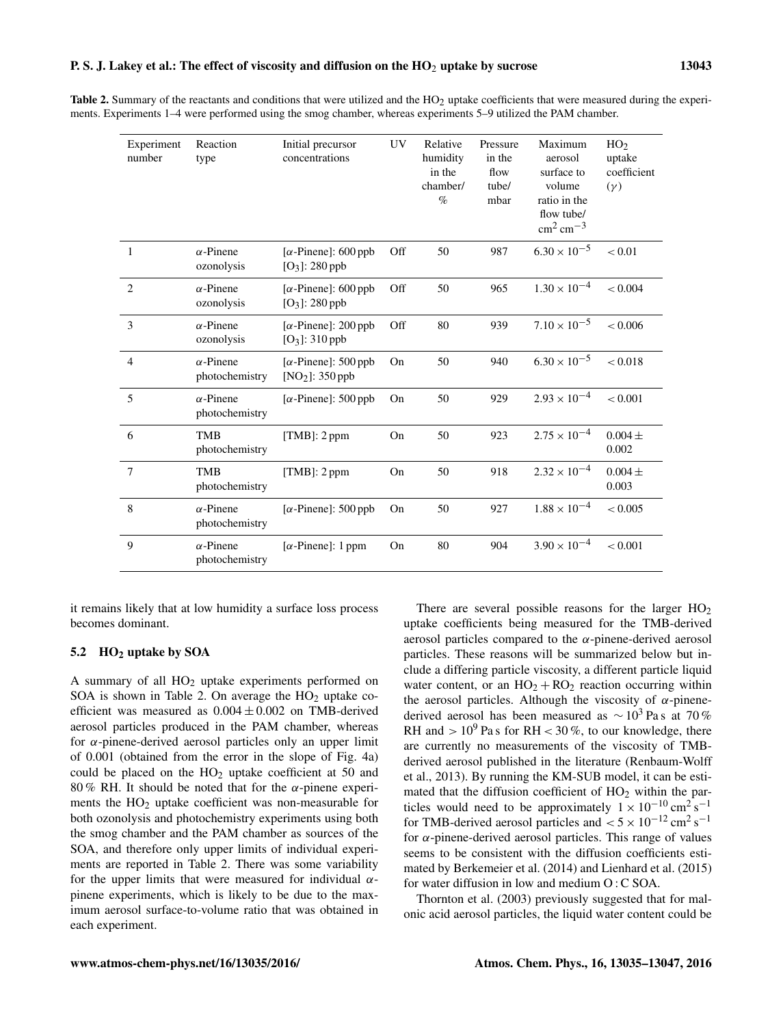Table 2. Summary of the reactants and conditions that were utilized and the HO<sub>2</sub> uptake coefficients that were measured during the experiments. Experiments 1–4 were performed using the smog chamber, whereas experiments 5–9 utilized the PAM chamber.

| Experiment<br>number | Reaction<br>type                   | Initial precursor<br>concentrations               | UV  | Relative<br>humidity<br>in the<br>chamber/<br>$\%$ | Pressure<br>in the<br>flow<br>tube/<br>mbar | Maximum<br>aerosol<br>surface to<br>volume<br>ratio in the<br>flow tube/<br>$\rm cm^2\, cm^{-3}$ | HO <sub>2</sub><br>uptake<br>coefficient<br>$(\gamma)$ |
|----------------------|------------------------------------|---------------------------------------------------|-----|----------------------------------------------------|---------------------------------------------|--------------------------------------------------------------------------------------------------|--------------------------------------------------------|
| 1                    | $\alpha$ -Pinene<br>ozonolysis     | [ $\alpha$ -Pinene]: 600 ppb<br>$[O_3]$ : 280 ppb | Off | 50                                                 | 987                                         | $6.30 \times 10^{-5}$                                                                            | < 0.01                                                 |
| $\overline{2}$       | $\alpha$ -Pinene<br>ozonolysis     | [ $\alpha$ -Pinene]: 600 ppb<br>$[O_3]$ : 280 ppb | Off | 50                                                 | 965                                         | $1.30 \times 10^{-4}$                                                                            | < 0.004                                                |
| 3                    | $\alpha$ -Pinene<br>ozonolysis     | $[\alpha$ -Pinene]: 200 ppb<br>$[O_3]$ : 310 ppb  | Off | 80                                                 | 939                                         | $7.10 \times 10^{-5}$                                                                            | < 0.006                                                |
| $\overline{4}$       | $\alpha$ -Pinene<br>photochemistry | $[\alpha$ -Pinene]: 500 ppb<br>$[NO2]$ : 350 ppb  | On  | 50                                                 | 940                                         | $6.30 \times 10^{-5}$                                                                            | < 0.018                                                |
| 5                    | $\alpha$ -Pinene<br>photochemistry | [ $\alpha$ -Pinene]: 500 ppb                      | On  | 50                                                 | 929                                         | $2.93 \times 10^{-4}$                                                                            | < 0.001                                                |
| 6                    | <b>TMB</b><br>photochemistry       | $[TMB]$ : 2 ppm                                   | On  | 50                                                 | 923                                         | $2.75 \times 10^{-4}$                                                                            | $0.004 \pm$<br>0.002                                   |
| $\overline{7}$       | <b>TMB</b><br>photochemistry       | [TMB]: $2$ ppm                                    | On  | 50                                                 | 918                                         | $2.32 \times 10^{-4}$                                                                            | $0.004 \pm$<br>0.003                                   |
| 8                    | $\alpha$ -Pinene<br>photochemistry | [ $\alpha$ -Pinene]: 500 ppb                      | On  | 50                                                 | 927                                         | $1.88 \times 10^{-4}$                                                                            | < 0.005                                                |
| 9                    | $\alpha$ -Pinene<br>photochemistry | $[\alpha$ -Pinene]: 1 ppm                         | On  | 80                                                 | 904                                         | $3.90 \times 10^{-4}$                                                                            | < 0.001                                                |

it remains likely that at low humidity a surface loss process becomes dominant.

## 5.2 HO<sup>2</sup> uptake by SOA

A summary of all  $HO<sub>2</sub>$  uptake experiments performed on SOA is shown in Table 2. On average the  $HO<sub>2</sub>$  uptake coefficient was measured as  $0.004 \pm 0.002$  on TMB-derived aerosol particles produced in the PAM chamber, whereas for  $\alpha$ -pinene-derived aerosol particles only an upper limit of 0.001 (obtained from the error in the slope of Fig. 4a) could be placed on the  $HO<sub>2</sub>$  uptake coefficient at 50 and 80 % RH. It should be noted that for the  $\alpha$ -pinene experiments the  $HO<sub>2</sub>$  uptake coefficient was non-measurable for both ozonolysis and photochemistry experiments using both the smog chamber and the PAM chamber as sources of the SOA, and therefore only upper limits of individual experiments are reported in Table 2. There was some variability for the upper limits that were measured for individual  $\alpha$ pinene experiments, which is likely to be due to the maximum aerosol surface-to-volume ratio that was obtained in each experiment.

There are several possible reasons for the larger  $HO<sub>2</sub>$ uptake coefficients being measured for the TMB-derived aerosol particles compared to the  $\alpha$ -pinene-derived aerosol particles. These reasons will be summarized below but include a differing particle viscosity, a different particle liquid water content, or an  $HO_2 + RO_2$  reaction occurring within the aerosol particles. Although the viscosity of  $\alpha$ -pinenederived aerosol has been measured as  $\sim 10^3$  Pas at 70 % RH and  $> 10^9$  Pa s for RH  $< 30\%$ , to our knowledge, there are currently no measurements of the viscosity of TMBderived aerosol published in the literature (Renbaum-Wolff et al., 2013). By running the KM-SUB model, it can be estimated that the diffusion coefficient of  $HO<sub>2</sub>$  within the particles would need to be approximately  $1 \times 10^{-10} \text{ cm}^2 \text{s}^{-1}$ for TMB-derived aerosol particles and  $< 5 \times 10^{-12}$  cm<sup>2</sup> s<sup>-1</sup> for  $\alpha$ -pinene-derived aerosol particles. This range of values seems to be consistent with the diffusion coefficients estimated by Berkemeier et al. (2014) and Lienhard et al. (2015) for water diffusion in low and medium O : C SOA.

Thornton et al. (2003) previously suggested that for malonic acid aerosol particles, the liquid water content could be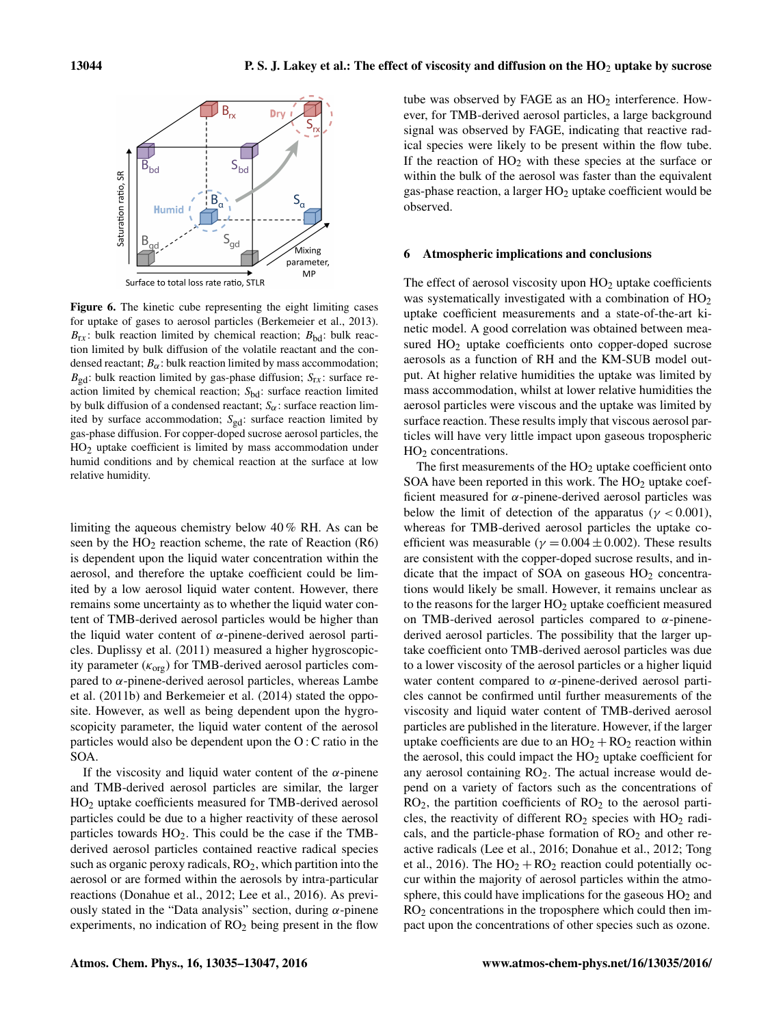

Figure 6. The kinetic cube representing the eight limiting cases for uptake of gases to aerosol particles (Berkemeier et al., 2013).  $B_{rx}$ : bulk reaction limited by chemical reaction;  $B_{bd}$ : bulk reaction limited by bulk diffusion of the volatile reactant and the condensed reactant;  $B_{\alpha}$ : bulk reaction limited by mass accommodation;  $B_{\text{gd}}$ : bulk reaction limited by gas-phase diffusion;  $S_{\text{rx}}$ : surface reaction limited by chemical reaction;  $S_{bd}$ : surface reaction limited by bulk diffusion of a condensed reactant;  $S_{\alpha}$ : surface reaction limited by surface accommodation;  $S_{gd}$ : surface reaction limited by gas-phase diffusion. For copper-doped sucrose aerosol particles, the HO2 uptake coefficient is limited by mass accommodation under humid conditions and by chemical reaction at the surface at low relative humidity.

limiting the aqueous chemistry below 40 % RH. As can be seen by the  $HO<sub>2</sub>$  reaction scheme, the rate of Reaction (R6) is dependent upon the liquid water concentration within the aerosol, and therefore the uptake coefficient could be limited by a low aerosol liquid water content. However, there remains some uncertainty as to whether the liquid water content of TMB-derived aerosol particles would be higher than the liquid water content of  $\alpha$ -pinene-derived aerosol particles. Duplissy et al. (2011) measured a higher hygroscopicity parameter  $(\kappa_{org})$  for TMB-derived aerosol particles compared to  $\alpha$ -pinene-derived aerosol particles, whereas Lambe et al. (2011b) and Berkemeier et al. (2014) stated the opposite. However, as well as being dependent upon the hygroscopicity parameter, the liquid water content of the aerosol particles would also be dependent upon the O : C ratio in the SOA.

If the viscosity and liquid water content of the  $\alpha$ -pinene and TMB-derived aerosol particles are similar, the larger HO<sup>2</sup> uptake coefficients measured for TMB-derived aerosol particles could be due to a higher reactivity of these aerosol particles towards  $HO<sub>2</sub>$ . This could be the case if the TMBderived aerosol particles contained reactive radical species such as organic peroxy radicals,  $RO<sub>2</sub>$ , which partition into the aerosol or are formed within the aerosols by intra-particular reactions (Donahue et al., 2012; Lee et al., 2016). As previously stated in the "Data analysis" section, during  $\alpha$ -pinene experiments, no indication of  $RO<sub>2</sub>$  being present in the flow tube was observed by FAGE as an  $HO<sub>2</sub>$  interference. However, for TMB-derived aerosol particles, a large background signal was observed by FAGE, indicating that reactive radical species were likely to be present within the flow tube. If the reaction of  $HO<sub>2</sub>$  with these species at the surface or within the bulk of the aerosol was faster than the equivalent gas-phase reaction, a larger  $HO<sub>2</sub>$  uptake coefficient would be observed.

#### 6 Atmospheric implications and conclusions

The effect of aerosol viscosity upon  $HO<sub>2</sub>$  uptake coefficients was systematically investigated with a combination of  $HO<sub>2</sub>$ uptake coefficient measurements and a state-of-the-art kinetic model. A good correlation was obtained between measured  $HO<sub>2</sub>$  uptake coefficients onto copper-doped sucrose aerosols as a function of RH and the KM-SUB model output. At higher relative humidities the uptake was limited by mass accommodation, whilst at lower relative humidities the aerosol particles were viscous and the uptake was limited by surface reaction. These results imply that viscous aerosol particles will have very little impact upon gaseous tropospheric HO<sub>2</sub> concentrations.

The first measurements of the  $HO<sub>2</sub>$  uptake coefficient onto SOA have been reported in this work. The  $HO<sub>2</sub>$  uptake coefficient measured for  $\alpha$ -pinene-derived aerosol particles was below the limit of detection of the apparatus ( $\gamma$  < 0.001), whereas for TMB-derived aerosol particles the uptake coefficient was measurable ( $\gamma = 0.004 \pm 0.002$ ). These results are consistent with the copper-doped sucrose results, and indicate that the impact of SOA on gaseous  $HO<sub>2</sub>$  concentrations would likely be small. However, it remains unclear as to the reasons for the larger  $HO<sub>2</sub>$  uptake coefficient measured on TMB-derived aerosol particles compared to  $\alpha$ -pinenederived aerosol particles. The possibility that the larger uptake coefficient onto TMB-derived aerosol particles was due to a lower viscosity of the aerosol particles or a higher liquid water content compared to  $\alpha$ -pinene-derived aerosol particles cannot be confirmed until further measurements of the viscosity and liquid water content of TMB-derived aerosol particles are published in the literature. However, if the larger uptake coefficients are due to an  $HO_2 + RO_2$  reaction within the aerosol, this could impact the  $HO<sub>2</sub>$  uptake coefficient for any aerosol containing  $RO<sub>2</sub>$ . The actual increase would depend on a variety of factors such as the concentrations of  $RO<sub>2</sub>$ , the partition coefficients of  $RO<sub>2</sub>$  to the aerosol particles, the reactivity of different  $RO<sub>2</sub>$  species with  $HO<sub>2</sub>$  radicals, and the particle-phase formation of  $RO<sub>2</sub>$  and other reactive radicals (Lee et al., 2016; Donahue et al., 2012; Tong et al., 2016). The  $HO_2 + RO_2$  reaction could potentially occur within the majority of aerosol particles within the atmosphere, this could have implications for the gaseous  $HO<sub>2</sub>$  and  $RO<sub>2</sub>$  concentrations in the troposphere which could then impact upon the concentrations of other species such as ozone.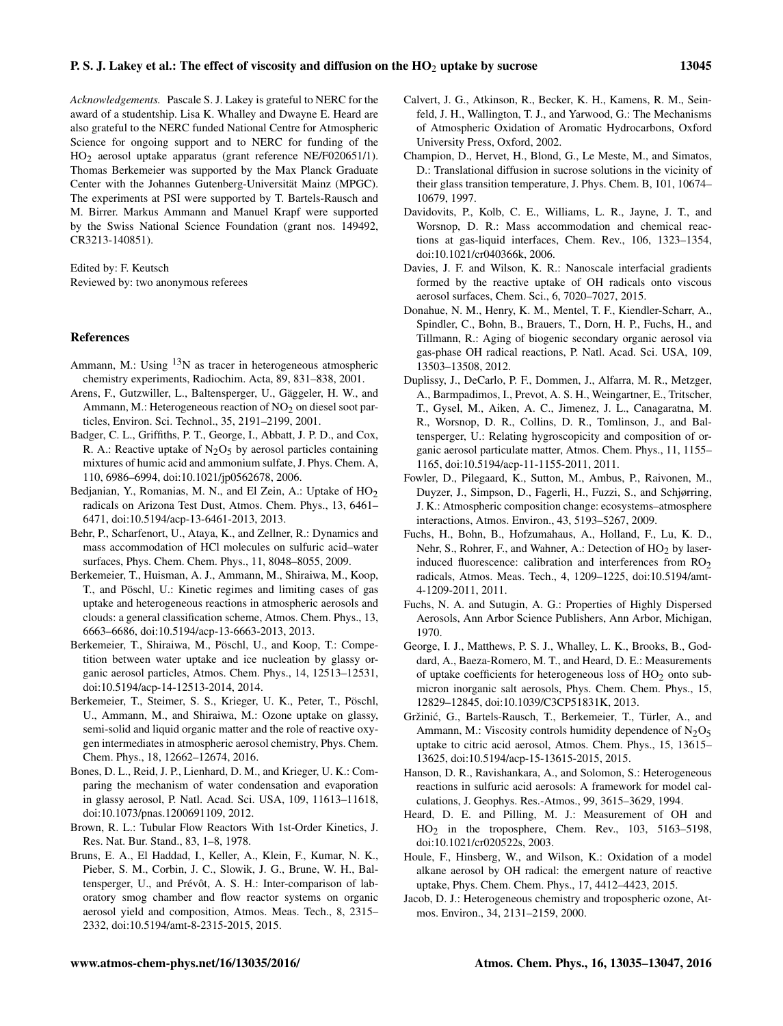*Acknowledgements.* Pascale S. J. Lakey is grateful to NERC for the award of a studentship. Lisa K. Whalley and Dwayne E. Heard are also grateful to the NERC funded National Centre for Atmospheric Science for ongoing support and to NERC for funding of the HO2 aerosol uptake apparatus (grant reference NE/F020651/1). Thomas Berkemeier was supported by the Max Planck Graduate Center with the Johannes Gutenberg-Universität Mainz (MPGC). The experiments at PSI were supported by T. Bartels-Rausch and M. Birrer. Markus Ammann and Manuel Krapf were supported by the Swiss National Science Foundation (grant nos. 149492, CR3213-140851).

Edited by: F. Keutsch Reviewed by: two anonymous referees

#### References

- Ammann, M.: Using  $13N$  as tracer in heterogeneous atmospheric chemistry experiments, Radiochim. Acta, 89, 831–838, 2001.
- Arens, F., Gutzwiller, L., Baltensperger, U., Gäggeler, H. W., and Ammann, M.: Heterogeneous reaction of  $NO<sub>2</sub>$  on diesel soot particles, Environ. Sci. Technol., 35, 2191–2199, 2001.
- Badger, C. L., Griffiths, P. T., George, I., Abbatt, J. P. D., and Cox, R. A.: Reactive uptake of  $N<sub>2</sub>O<sub>5</sub>$  by aerosol particles containing mixtures of humic acid and ammonium sulfate, J. Phys. Chem. A, 110, 6986–6994, doi[:10.1021/jp0562678,](http://dx.doi.org/10.1021/jp0562678) 2006.
- Bedjanian, Y., Romanias, M. N., and El Zein, A.: Uptake of  $HO<sub>2</sub>$ radicals on Arizona Test Dust, Atmos. Chem. Phys., 13, 6461– 6471, doi[:10.5194/acp-13-6461-2013,](http://dx.doi.org/10.5194/acp-13-6461-2013) 2013.
- Behr, P., Scharfenort, U., Ataya, K., and Zellner, R.: Dynamics and mass accommodation of HCl molecules on sulfuric acid–water surfaces, Phys. Chem. Chem. Phys., 11, 8048–8055, 2009.
- Berkemeier, T., Huisman, A. J., Ammann, M., Shiraiwa, M., Koop, T., and Pöschl, U.: Kinetic regimes and limiting cases of gas uptake and heterogeneous reactions in atmospheric aerosols and clouds: a general classification scheme, Atmos. Chem. Phys., 13, 6663–6686, doi[:10.5194/acp-13-6663-2013,](http://dx.doi.org/10.5194/acp-13-6663-2013) 2013.
- Berkemeier, T., Shiraiwa, M., Pöschl, U., and Koop, T.: Competition between water uptake and ice nucleation by glassy organic aerosol particles, Atmos. Chem. Phys., 14, 12513–12531, doi[:10.5194/acp-14-12513-2014,](http://dx.doi.org/10.5194/acp-14-12513-2014) 2014.
- Berkemeier, T., Steimer, S. S., Krieger, U. K., Peter, T., Pöschl, U., Ammann, M., and Shiraiwa, M.: Ozone uptake on glassy, semi-solid and liquid organic matter and the role of reactive oxygen intermediates in atmospheric aerosol chemistry, Phys. Chem. Chem. Phys., 18, 12662–12674, 2016.
- Bones, D. L., Reid, J. P., Lienhard, D. M., and Krieger, U. K.: Comparing the mechanism of water condensation and evaporation in glassy aerosol, P. Natl. Acad. Sci. USA, 109, 11613–11618, doi[:10.1073/pnas.1200691109,](http://dx.doi.org/10.1073/pnas.1200691109) 2012.
- Brown, R. L.: Tubular Flow Reactors With 1st-Order Kinetics, J. Res. Nat. Bur. Stand., 83, 1–8, 1978.
- Bruns, E. A., El Haddad, I., Keller, A., Klein, F., Kumar, N. K., Pieber, S. M., Corbin, J. C., Slowik, J. G., Brune, W. H., Baltensperger, U., and Prévôt, A. S. H.: Inter-comparison of laboratory smog chamber and flow reactor systems on organic aerosol yield and composition, Atmos. Meas. Tech., 8, 2315– 2332, doi[:10.5194/amt-8-2315-2015,](http://dx.doi.org/10.5194/amt-8-2315-2015) 2015.
- Calvert, J. G., Atkinson, R., Becker, K. H., Kamens, R. M., Seinfeld, J. H., Wallington, T. J., and Yarwood, G.: The Mechanisms of Atmospheric Oxidation of Aromatic Hydrocarbons, Oxford University Press, Oxford, 2002.
- Champion, D., Hervet, H., Blond, G., Le Meste, M., and Simatos, D.: Translational diffusion in sucrose solutions in the vicinity of their glass transition temperature, J. Phys. Chem. B, 101, 10674– 10679, 1997.
- Davidovits, P., Kolb, C. E., Williams, L. R., Jayne, J. T., and Worsnop, D. R.: Mass accommodation and chemical reactions at gas-liquid interfaces, Chem. Rev., 106, 1323–1354, doi[:10.1021/cr040366k,](http://dx.doi.org/10.1021/cr040366k) 2006.
- Davies, J. F. and Wilson, K. R.: Nanoscale interfacial gradients formed by the reactive uptake of OH radicals onto viscous aerosol surfaces, Chem. Sci., 6, 7020–7027, 2015.
- Donahue, N. M., Henry, K. M., Mentel, T. F., Kiendler-Scharr, A., Spindler, C., Bohn, B., Brauers, T., Dorn, H. P., Fuchs, H., and Tillmann, R.: Aging of biogenic secondary organic aerosol via gas-phase OH radical reactions, P. Natl. Acad. Sci. USA, 109, 13503–13508, 2012.
- Duplissy, J., DeCarlo, P. F., Dommen, J., Alfarra, M. R., Metzger, A., Barmpadimos, I., Prevot, A. S. H., Weingartner, E., Tritscher, T., Gysel, M., Aiken, A. C., Jimenez, J. L., Canagaratna, M. R., Worsnop, D. R., Collins, D. R., Tomlinson, J., and Baltensperger, U.: Relating hygroscopicity and composition of organic aerosol particulate matter, Atmos. Chem. Phys., 11, 1155– 1165, doi[:10.5194/acp-11-1155-2011,](http://dx.doi.org/10.5194/acp-11-1155-2011) 2011.
- Fowler, D., Pilegaard, K., Sutton, M., Ambus, P., Raivonen, M., Duyzer, J., Simpson, D., Fagerli, H., Fuzzi, S., and Schjørring, J. K.: Atmospheric composition change: ecosystems–atmosphere interactions, Atmos. Environ., 43, 5193–5267, 2009.
- Fuchs, H., Bohn, B., Hofzumahaus, A., Holland, F., Lu, K. D., Nehr, S., Rohrer, F., and Wahner, A.: Detection of HO<sub>2</sub> by laserinduced fluorescence: calibration and interferences from RO<sub>2</sub> radicals, Atmos. Meas. Tech., 4, 1209–1225, doi[:10.5194/amt-](http://dx.doi.org/10.5194/amt-4-1209-2011)[4-1209-2011,](http://dx.doi.org/10.5194/amt-4-1209-2011) 2011.
- Fuchs, N. A. and Sutugin, A. G.: Properties of Highly Dispersed Aerosols, Ann Arbor Science Publishers, Ann Arbor, Michigan, 1970.
- George, I. J., Matthews, P. S. J., Whalley, L. K., Brooks, B., Goddard, A., Baeza-Romero, M. T., and Heard, D. E.: Measurements of uptake coefficients for heterogeneous loss of  $HO<sub>2</sub>$  onto submicron inorganic salt aerosols, Phys. Chem. Chem. Phys., 15, 12829–12845, doi[:10.1039/C3CP51831K,](http://dx.doi.org/10.1039/C3CP51831K) 2013.
- Gržinic, G., Bartels-Rausch, T., Berkemeier, T., Türler, A., and ´ Ammann, M.: Viscosity controls humidity dependence of  $N_2O_5$ uptake to citric acid aerosol, Atmos. Chem. Phys., 15, 13615– 13625, doi[:10.5194/acp-15-13615-2015,](http://dx.doi.org/10.5194/acp-15-13615-2015) 2015.
- Hanson, D. R., Ravishankara, A., and Solomon, S.: Heterogeneous reactions in sulfuric acid aerosols: A framework for model calculations, J. Geophys. Res.-Atmos., 99, 3615–3629, 1994.
- Heard, D. E. and Pilling, M. J.: Measurement of OH and HO2 in the troposphere, Chem. Rev., 103, 5163–5198, doi[:10.1021/cr020522s,](http://dx.doi.org/10.1021/cr020522s) 2003.
- Houle, F., Hinsberg, W., and Wilson, K.: Oxidation of a model alkane aerosol by OH radical: the emergent nature of reactive uptake, Phys. Chem. Chem. Phys., 17, 4412–4423, 2015.
- Jacob, D. J.: Heterogeneous chemistry and tropospheric ozone, Atmos. Environ., 34, 2131–2159, 2000.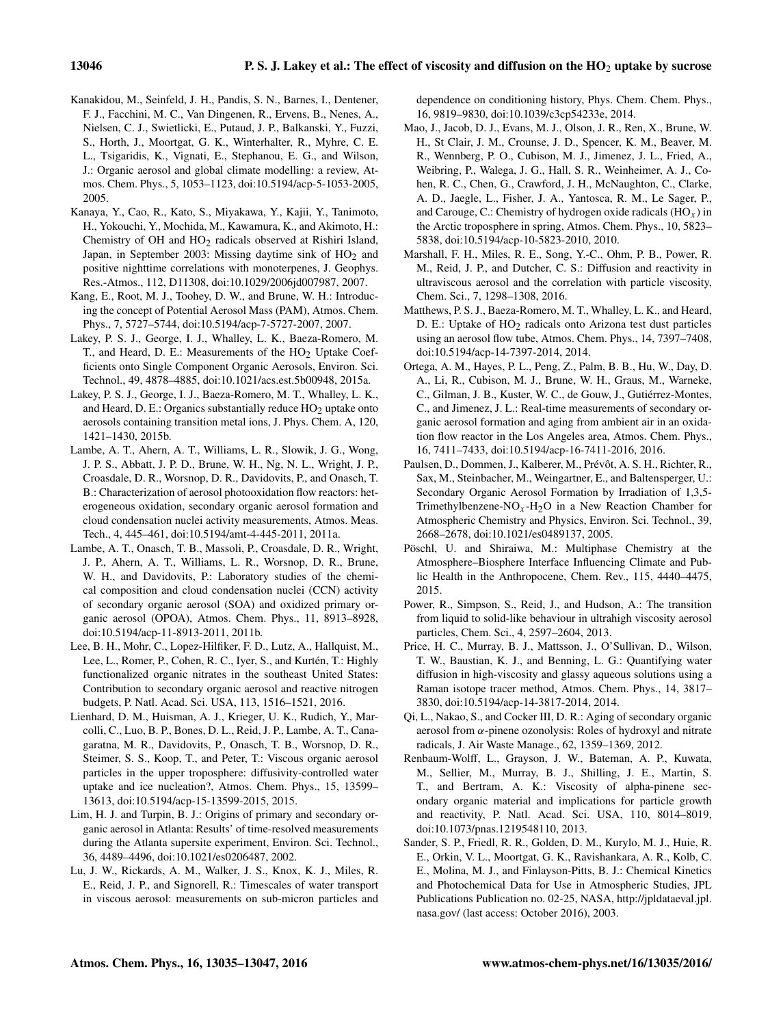- Kanakidou, M., Seinfeld, J. H., Pandis, S. N., Barnes, I., Dentener, F. J., Facchini, M. C., Van Dingenen, R., Ervens, B., Nenes, A., Nielsen, C. J., Swietlicki, E., Putaud, J. P., Balkanski, Y., Fuzzi, S., Horth, J., Moortgat, G. K., Winterhalter, R., Myhre, C. E. L., Tsigaridis, K., Vignati, E., Stephanou, E. G., and Wilson, J.: Organic aerosol and global climate modelling: a review, Atmos. Chem. Phys., 5, 1053–1123, doi[:10.5194/acp-5-1053-2005,](http://dx.doi.org/10.5194/acp-5-1053-2005) 2005.
- Kanaya, Y., Cao, R., Kato, S., Miyakawa, Y., Kajii, Y., Tanimoto, H., Yokouchi, Y., Mochida, M., Kawamura, K., and Akimoto, H.: Chemistry of OH and HO2 radicals observed at Rishiri Island, Japan, in September 2003: Missing daytime sink of  $HO<sub>2</sub>$  and positive nighttime correlations with monoterpenes, J. Geophys. Res.-Atmos., 112, D11308, doi[:10.1029/2006jd007987,](http://dx.doi.org/10.1029/2006jd007987) 2007.
- Kang, E., Root, M. J., Toohey, D. W., and Brune, W. H.: Introducing the concept of Potential Aerosol Mass (PAM), Atmos. Chem. Phys., 7, 5727–5744, doi[:10.5194/acp-7-5727-2007,](http://dx.doi.org/10.5194/acp-7-5727-2007) 2007.
- Lakey, P. S. J., George, I. J., Whalley, L. K., Baeza-Romero, M. T., and Heard, D. E.: Measurements of the  $HO<sub>2</sub>$  Uptake Coefficients onto Single Component Organic Aerosols, Environ. Sci. Technol., 49, 4878–4885, doi[:10.1021/acs.est.5b00948,](http://dx.doi.org/10.1021/acs.est.5b00948) 2015a.
- Lakey, P. S. J., George, I. J., Baeza-Romero, M. T., Whalley, L. K., and Heard, D. E.: Organics substantially reduce  $HO<sub>2</sub>$  uptake onto aerosols containing transition metal ions, J. Phys. Chem. A, 120, 1421–1430, 2015b.
- Lambe, A. T., Ahern, A. T., Williams, L. R., Slowik, J. G., Wong, J. P. S., Abbatt, J. P. D., Brune, W. H., Ng, N. L., Wright, J. P., Croasdale, D. R., Worsnop, D. R., Davidovits, P., and Onasch, T. B.: Characterization of aerosol photooxidation flow reactors: heterogeneous oxidation, secondary organic aerosol formation and cloud condensation nuclei activity measurements, Atmos. Meas. Tech., 4, 445–461, doi[:10.5194/amt-4-445-2011,](http://dx.doi.org/10.5194/amt-4-445-2011) 2011a.
- Lambe, A. T., Onasch, T. B., Massoli, P., Croasdale, D. R., Wright, J. P., Ahern, A. T., Williams, L. R., Worsnop, D. R., Brune, W. H., and Davidovits, P.: Laboratory studies of the chemical composition and cloud condensation nuclei (CCN) activity of secondary organic aerosol (SOA) and oxidized primary organic aerosol (OPOA), Atmos. Chem. Phys., 11, 8913–8928, doi[:10.5194/acp-11-8913-2011,](http://dx.doi.org/10.5194/acp-11-8913-2011) 2011b.
- Lee, B. H., Mohr, C., Lopez-Hilfiker, F. D., Lutz, A., Hallquist, M., Lee, L., Romer, P., Cohen, R. C., Iyer, S., and Kurtén, T.: Highly functionalized organic nitrates in the southeast United States: Contribution to secondary organic aerosol and reactive nitrogen budgets, P. Natl. Acad. Sci. USA, 113, 1516–1521, 2016.
- Lienhard, D. M., Huisman, A. J., Krieger, U. K., Rudich, Y., Marcolli, C., Luo, B. P., Bones, D. L., Reid, J. P., Lambe, A. T., Canagaratna, M. R., Davidovits, P., Onasch, T. B., Worsnop, D. R., Steimer, S. S., Koop, T., and Peter, T.: Viscous organic aerosol particles in the upper troposphere: diffusivity-controlled water uptake and ice nucleation?, Atmos. Chem. Phys., 15, 13599– 13613, doi[:10.5194/acp-15-13599-2015,](http://dx.doi.org/10.5194/acp-15-13599-2015) 2015.
- Lim, H. J. and Turpin, B. J.: Origins of primary and secondary organic aerosol in Atlanta: Results' of time-resolved measurements during the Atlanta supersite experiment, Environ. Sci. Technol., 36, 4489–4496, doi[:10.1021/es0206487,](http://dx.doi.org/10.1021/es0206487) 2002.
- Lu, J. W., Rickards, A. M., Walker, J. S., Knox, K. J., Miles, R. E., Reid, J. P., and Signorell, R.: Timescales of water transport in viscous aerosol: measurements on sub-micron particles and

dependence on conditioning history, Phys. Chem. Chem. Phys., 16, 9819–9830, doi[:10.1039/c3cp54233e,](http://dx.doi.org/10.1039/c3cp54233e) 2014.

- Mao, J., Jacob, D. J., Evans, M. J., Olson, J. R., Ren, X., Brune, W. H., St Clair, J. M., Crounse, J. D., Spencer, K. M., Beaver, M. R., Wennberg, P. O., Cubison, M. J., Jimenez, J. L., Fried, A., Weibring, P., Walega, J. G., Hall, S. R., Weinheimer, A. J., Cohen, R. C., Chen, G., Crawford, J. H., McNaughton, C., Clarke, A. D., Jaegle, L., Fisher, J. A., Yantosca, R. M., Le Sager, P., and Carouge, C.: Chemistry of hydrogen oxide radicals  $(HO_x)$  in the Arctic troposphere in spring, Atmos. Chem. Phys., 10, 5823– 5838, doi[:10.5194/acp-10-5823-2010,](http://dx.doi.org/10.5194/acp-10-5823-2010) 2010.
- Marshall, F. H., Miles, R. E., Song, Y.-C., Ohm, P. B., Power, R. M., Reid, J. P., and Dutcher, C. S.: Diffusion and reactivity in ultraviscous aerosol and the correlation with particle viscosity, Chem. Sci., 7, 1298–1308, 2016.
- Matthews, P. S. J., Baeza-Romero, M. T., Whalley, L. K., and Heard, D. E.: Uptake of  $HO<sub>2</sub>$  radicals onto Arizona test dust particles using an aerosol flow tube, Atmos. Chem. Phys., 14, 7397–7408, doi[:10.5194/acp-14-7397-2014,](http://dx.doi.org/10.5194/acp-14-7397-2014) 2014.
- Ortega, A. M., Hayes, P. L., Peng, Z., Palm, B. B., Hu, W., Day, D. A., Li, R., Cubison, M. J., Brune, W. H., Graus, M., Warneke, C., Gilman, J. B., Kuster, W. C., de Gouw, J., Gutiérrez-Montes, C., and Jimenez, J. L.: Real-time measurements of secondary organic aerosol formation and aging from ambient air in an oxidation flow reactor in the Los Angeles area, Atmos. Chem. Phys., 16, 7411–7433, doi[:10.5194/acp-16-7411-2016,](http://dx.doi.org/10.5194/acp-16-7411-2016) 2016.
- Paulsen, D., Dommen, J., Kalberer, M., Prévôt, A. S. H., Richter, R., Sax, M., Steinbacher, M., Weingartner, E., and Baltensperger, U.: Secondary Organic Aerosol Formation by Irradiation of 1,3,5- Trimethylbenzene-NO<sub>x</sub>-H<sub>2</sub>O in a New Reaction Chamber for Atmospheric Chemistry and Physics, Environ. Sci. Technol., 39, 2668–2678, doi[:10.1021/es0489137,](http://dx.doi.org/10.1021/es0489137) 2005.
- Pöschl, U. and Shiraiwa, M.: Multiphase Chemistry at the Atmosphere–Biosphere Interface Influencing Climate and Public Health in the Anthropocene, Chem. Rev., 115, 4440–4475, 2015.
- Power, R., Simpson, S., Reid, J., and Hudson, A.: The transition from liquid to solid-like behaviour in ultrahigh viscosity aerosol particles, Chem. Sci., 4, 2597–2604, 2013.
- Price, H. C., Murray, B. J., Mattsson, J., O'Sullivan, D., Wilson, T. W., Baustian, K. J., and Benning, L. G.: Quantifying water diffusion in high-viscosity and glassy aqueous solutions using a Raman isotope tracer method, Atmos. Chem. Phys., 14, 3817– 3830, doi[:10.5194/acp-14-3817-2014,](http://dx.doi.org/10.5194/acp-14-3817-2014) 2014.
- Qi, L., Nakao, S., and Cocker III, D. R.: Aging of secondary organic aerosol from  $\alpha$ -pinene ozonolysis: Roles of hydroxyl and nitrate radicals, J. Air Waste Manage., 62, 1359–1369, 2012.
- Renbaum-Wolff, L., Grayson, J. W., Bateman, A. P., Kuwata, M., Sellier, M., Murray, B. J., Shilling, J. E., Martin, S. T., and Bertram, A. K.: Viscosity of alpha-pinene secondary organic material and implications for particle growth and reactivity, P. Natl. Acad. Sci. USA, 110, 8014–8019, doi[:10.1073/pnas.1219548110,](http://dx.doi.org/10.1073/pnas.1219548110) 2013.
- Sander, S. P., Friedl, R. R., Golden, D. M., Kurylo, M. J., Huie, R. E., Orkin, V. L., Moortgat, G. K., Ravishankara, A. R., Kolb, C. E., Molina, M. J., and Finlayson-Pitts, B. J.: Chemical Kinetics and Photochemical Data for Use in Atmospheric Studies, JPL Publications Publication no. 02-25, NASA, [http://jpldataeval.jpl.](http://jpldataeval.jpl.nasa.gov/) [nasa.gov/](http://jpldataeval.jpl.nasa.gov/) (last access: October 2016), 2003.